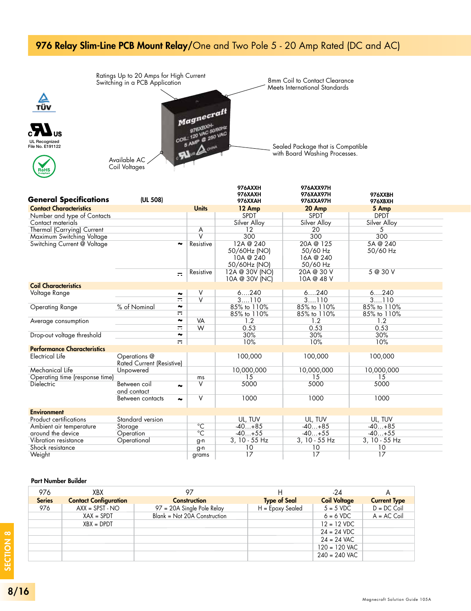## 976 Relay Slim-Line PCB Mount Relay/One and Two Pole 5 - 20 Amp Rated (DC and AC)



| <b>General Specifications</b>      | (UL 508)                                            |                         | 976AXXH<br><b>976XAXH</b><br>976XXAH                   | 976AXX97H<br>976XAX97H<br>976XXA97H            | 976XXBH<br>976XBXH   |  |
|------------------------------------|-----------------------------------------------------|-------------------------|--------------------------------------------------------|------------------------------------------------|----------------------|--|
| <b>Contact Characteristics</b>     |                                                     | <b>Units</b>            | 12 Amp                                                 | 20 Amp                                         | 5 Amp                |  |
| Number and type of Contacts        |                                                     |                         | <b>SPDT</b>                                            | <b>SPDT</b>                                    | <b>DPDT</b>          |  |
| Contact materials                  |                                                     |                         | Silver Alloy                                           | Silver Alloy                                   | Silver Alloy         |  |
| Thermal (Carrying) Current         |                                                     | A                       | 12                                                     | 20                                             | .5                   |  |
| Maximum Switching Voltage          |                                                     | $\overline{\mathsf{V}}$ | 300                                                    | 300                                            | 300                  |  |
| Switching Current @ Voltage        | $\ddot{\phantom{0}}$                                | Resistive               | 12A @ 240<br>50/60Hz (NO)<br>10A @ 240<br>50/60Hz (NO) | 20A @ 125<br>50/60 Hz<br>16A @ 240<br>50/60 Hz | 5A @ 240<br>50/60 Hz |  |
|                                    | $\equiv$                                            | Resistive               | 12A @ 30V (NO)<br>10A @ 30V (NC)                       | 20A @ 30 V<br>10A @ 48 V                       | 5 @ 30 V             |  |
| <b>Coil Characteristics</b>        |                                                     |                         |                                                        |                                                |                      |  |
| Voltage Range                      | ∼                                                   | ٧                       | 6240                                                   | 6240                                           | 6240                 |  |
|                                    | $=$                                                 | $\overline{\mathsf{v}}$ | 3110                                                   | 3110                                           | 3110                 |  |
| <b>Operating Range</b>             | % of Nominal<br>$\tilde{\phantom{a}}$               |                         | 85% to 110%                                            | 85% to 110%                                    | 85% to 110%          |  |
|                                    | $\equiv$                                            |                         | 85% to 110%                                            | 85% to 110%                                    | 85% to 110%          |  |
| Average consumption                | $\tilde{\phantom{a}}$                               | VA                      | 1.2                                                    | 1.2                                            | 1.2                  |  |
|                                    | $\equiv$                                            | W                       | 0.53                                                   | 0.53                                           | 0.53                 |  |
| Drop-out voltage threshold         | $\tilde{\phantom{a}}$                               |                         | 30%                                                    | 30%                                            | 30%                  |  |
|                                    | $\equiv$                                            |                         | 10%                                                    | 10%                                            | 10%                  |  |
| <b>Performance Characteristics</b> |                                                     |                         |                                                        |                                                |                      |  |
| Electrical Life                    | Operations @<br>Rated Current (Resistive)           |                         | 100,000                                                | 100,000                                        | 100,000              |  |
| Mechanical Life                    | Unpowered                                           |                         | 10,000,000                                             | 10,000,000                                     | 10,000,000           |  |
| Operating time (response time)     |                                                     | ms                      | 15                                                     | 15                                             | 15                   |  |
| <b>Dielectric</b>                  | Between coil<br>$\ddot{\phantom{r}}$<br>and contact | ٧                       | 5000                                                   | 5000                                           | 5000                 |  |
|                                    | Between contacts<br>∾                               | V                       | 1000                                                   | 1000                                           | 1000                 |  |
| <b>Environment</b>                 |                                                     |                         |                                                        |                                                |                      |  |
| Product certifications             | Standard version                                    |                         | UL, TUV                                                | UL, TUV                                        | UL, TUV              |  |
| Ambient air temperature            | Storage                                             | $^{\circ}$ C            | $-40+85$                                               | $-40+85$                                       | $-40+85$             |  |
| around the device                  | Operation                                           | $\overline{C}$          | $-40+55$                                               | $-40+55$                                       | $-40+55$             |  |
| Vibration resistance               | Operational                                         | g-n                     | 3, 10 - 55 Hz                                          | 3, 10 - 55 Hz                                  | 3, 10 - 55 Hz        |  |
| Shock resistance                   |                                                     | g-n                     | 10                                                     | 10                                             | 10                   |  |
| Weight                             |                                                     | grams                   | 17                                                     | 17                                             | 17                   |  |

#### Part Number Builder

TÜV

| 976           | <b>XBX</b>                   | 97                           | н                   | -24                 |                     |
|---------------|------------------------------|------------------------------|---------------------|---------------------|---------------------|
| <b>Series</b> | <b>Contact Configuration</b> | <b>Construction</b>          | <b>Type of Seal</b> | <b>Coil Voltage</b> | <b>Current Type</b> |
| 976           | $AXX = SPST - NO$            | 97 = 20A Single Pole Relay   | $H = E$ poxy Sealed | $5 = 5$ VDC         | $D = DC$ Coil       |
|               | $XAX = SPDT$                 | Blank = Not 20A Construction |                     | $6 = 6$ VDC         | $A = AC$ Coil       |
|               | $XBX = DPDT$                 |                              |                     | $12 = 12$ VDC       |                     |
|               |                              |                              |                     | $24 = 24$ VDC       |                     |
|               |                              |                              |                     | $24 = 24$ VAC       |                     |
|               |                              |                              |                     | $120 = 120$ VAC     |                     |
|               |                              |                              |                     | $240 = 240$ VAC     |                     |
|               |                              |                              |                     |                     |                     |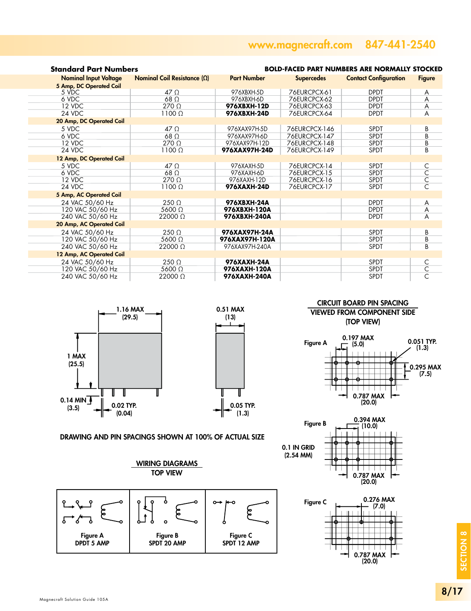## www.magnecraft.com 847-441-2540

| <b>Standard Part Numbers</b>                            | <b>BOLD-FACED PART NUMBERS ARE NORMALLY STOCKED</b> |                    |                   |                              |                         |
|---------------------------------------------------------|-----------------------------------------------------|--------------------|-------------------|------------------------------|-------------------------|
| <b>Nominal Input Voltage</b><br>5 Amp, DC Operated Coil | Nominal Coil Resistance $(\Omega)$                  | <b>Part Number</b> | <b>Supercedes</b> | <b>Contact Configuration</b> | <b>Figure</b>           |
| 5 VDC                                                   | $47 \Omega$                                         | 976XBXH-5D         | 76EURCPCX-61      | <b>DPDT</b>                  | A                       |
| 6 VDC                                                   | 68 $\Omega$                                         | 976XBXH-6D         | 76EURCPCX-62      | <b>DPDT</b>                  | A                       |
| 12 VDC                                                  | $270 \Omega$                                        | 976XBXH-12D        | 76EURCPCX-63      | <b>DPDT</b>                  | A                       |
| 24 VDC                                                  | 1100 $\Omega$                                       | 976XBXH-24D        | 76EURCPCX-64      | <b>DPDT</b>                  | A                       |
| 20 Amp, DC Operated Coil                                |                                                     |                    |                   |                              |                         |
| 5 VDC                                                   | $47 \Omega$                                         | 976XAX97H-5D       | 76EURCPCX-146     | <b>SPDT</b>                  | В                       |
| 6 VDC                                                   | $68$ $\Omega$                                       | 976XAX97H-6D       | 76EURCPCX-147     | <b>SPDT</b>                  | B                       |
| 12 VDC                                                  | $270 \Omega$                                        | 976XAX97H-12D      | 76EURCPCX-148     | <b>SPDT</b>                  | В                       |
| 24 VDC                                                  | $1100 \Omega$                                       | 976XAX97H-24D      | 76EURCPCX-149     | <b>SPDT</b>                  | <sub>R</sub>            |
| 12 Amp, DC Operated Coil                                |                                                     |                    |                   |                              |                         |
| 5 VDC                                                   | $47 \Omega$                                         | 976XAXH-5D         | 76EURCPCX-14      | <b>SPDT</b>                  | С                       |
| 6 VDC                                                   | 68 $\Omega$                                         | 976XAXH-6D         | 76EURCPCX-15      | <b>SPDT</b>                  | $\overline{\mathsf{C}}$ |
| 12 VDC                                                  | $270 \Omega$                                        | 976XAXH-12D        | 76EURCPCX-16      | <b>SPDT</b>                  | $\overline{\mathsf{C}}$ |
| 24 VDC                                                  | $1100 \Omega$                                       | 976XAXH-24D        | 76EURCPCX-17      | <b>SPDT</b>                  |                         |
| 5 Amp, AC Operated Coil                                 |                                                     |                    |                   |                              |                         |
| 24 VAC 50/60 Hz                                         | $250 \Omega$                                        | 976XBXH-24A        |                   | <b>DPDT</b>                  | A                       |
| 120 VAC 50/60 Hz                                        | 5600 $\Omega$                                       | 976XBXH-120A       |                   | <b>DPDT</b>                  | A                       |
| 240 VAC 50/60 Hz                                        | $22000 \Omega$                                      | 976XBXH-240A       |                   | <b>DPDT</b>                  | A                       |
| 20 Amp, AC Operated Coil                                |                                                     |                    |                   |                              |                         |
| 24 VAC 50/60 Hz                                         | $250 \Omega$                                        | 976XAX97H-24A      |                   | <b>SPDT</b>                  | B                       |
| 120 VAC 50/60 Hz                                        | 5600 $\Omega$                                       | 976XAX97H-120A     |                   | <b>SPDT</b>                  | B                       |
| 240 VAC 50/60 Hz                                        | $22000 \Omega$                                      | 976XAX97H-240A     |                   | <b>SPDT</b>                  | B                       |
| 12 Amp, AC Operated Coil                                |                                                     |                    |                   |                              |                         |
| 24 VAC 50/60 Hz                                         | $250 \Omega$                                        | 976XAXH-24A        |                   | <b>SPDT</b>                  | C                       |
| 120 VAC 50/60 Hz                                        | 5600 $\Omega$                                       | 976XAXH-120A       |                   | <b>SPDT</b>                  | $\overline{C}$          |
| 240 VAC 50/60 Hz                                        | 22000 Ω                                             | 976XAXH-240A       |                   | <b>SPDT</b>                  | Ć                       |
|                                                         |                                                     |                    |                   |                              |                         |





#### CIRCUIT BOARD PIN SPACING

VIEWED FROM COMPONENT SIDE (TOP VIEW)









### DRAWING AND PIN SPACINGS SHOWN AT 100% OF ACTUAL SIZE



SECTION 8

SECTION 8